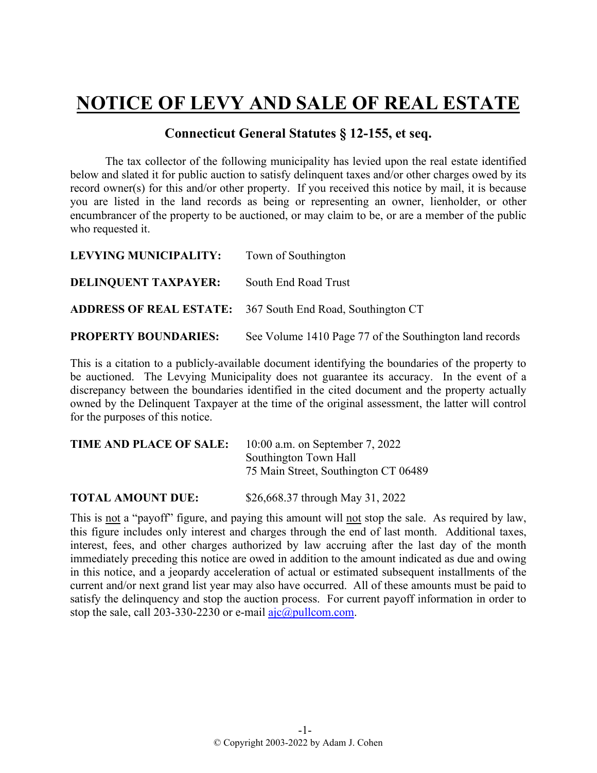## **NOTICE OF LEVY AND SALE OF REAL ESTATE**

## **Connecticut General Statutes § 12-155, et seq.**

The tax collector of the following municipality has levied upon the real estate identified below and slated it for public auction to satisfy delinquent taxes and/or other charges owed by its record owner(s) for this and/or other property. If you received this notice by mail, it is because you are listed in the land records as being or representing an owner, lienholder, or other encumbrancer of the property to be auctioned, or may claim to be, or are a member of the public who requested it.

| LEVYING MUNICIPALITY:       | Town of Southington                                               |
|-----------------------------|-------------------------------------------------------------------|
| <b>DELINQUENT TAXPAYER:</b> | South End Road Trust                                              |
|                             | <b>ADDRESS OF REAL ESTATE:</b> 367 South End Road, Southington CT |
| <b>PROPERTY BOUNDARIES:</b> | See Volume 1410 Page 77 of the Southington land records           |

This is a citation to a publicly-available document identifying the boundaries of the property to be auctioned. The Levying Municipality does not guarantee its accuracy. In the event of a discrepancy between the boundaries identified in the cited document and the property actually owned by the Delinquent Taxpayer at the time of the original assessment, the latter will control for the purposes of this notice.

| TIME AND PLACE OF SALE: | 10:00 a.m. on September 7, 2022      |
|-------------------------|--------------------------------------|
|                         | Southington Town Hall                |
|                         | 75 Main Street, Southington CT 06489 |
|                         |                                      |

**TOTAL AMOUNT DUE:** \$26,668.37 through May 31, 2022

This is not a "payoff" figure, and paying this amount will not stop the sale. As required by law, this figure includes only interest and charges through the end of last month. Additional taxes, interest, fees, and other charges authorized by law accruing after the last day of the month immediately preceding this notice are owed in addition to the amount indicated as due and owing in this notice, and a jeopardy acceleration of actual or estimated subsequent installments of the current and/or next grand list year may also have occurred. All of these amounts must be paid to satisfy the delinquency and stop the auction process. For current payoff information in order to stop the sale, call 203-330-2230 or e-mail  $a$ jc $@p$ ullcom.com.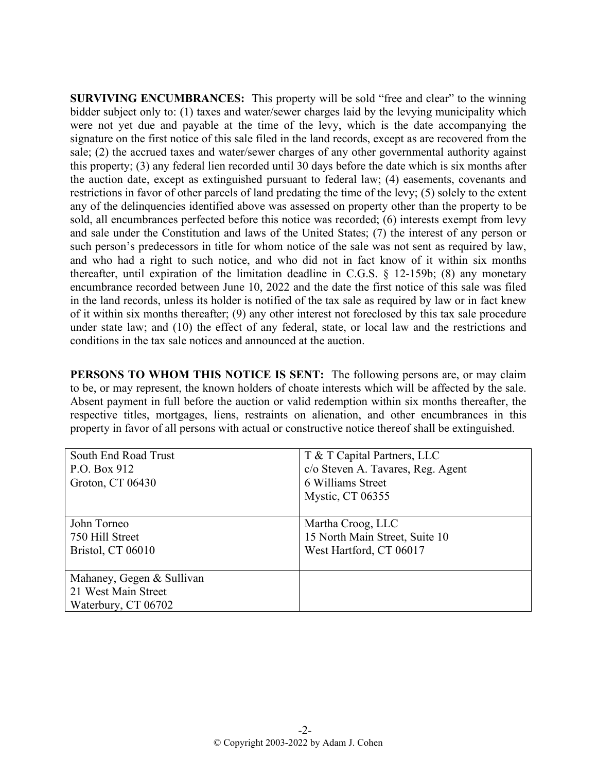**SURVIVING ENCUMBRANCES:** This property will be sold "free and clear" to the winning bidder subject only to: (1) taxes and water/sewer charges laid by the levying municipality which were not yet due and payable at the time of the levy, which is the date accompanying the signature on the first notice of this sale filed in the land records, except as are recovered from the sale; (2) the accrued taxes and water/sewer charges of any other governmental authority against this property; (3) any federal lien recorded until 30 days before the date which is six months after the auction date, except as extinguished pursuant to federal law; (4) easements, covenants and restrictions in favor of other parcels of land predating the time of the levy; (5) solely to the extent any of the delinquencies identified above was assessed on property other than the property to be sold, all encumbrances perfected before this notice was recorded; (6) interests exempt from levy and sale under the Constitution and laws of the United States; (7) the interest of any person or such person's predecessors in title for whom notice of the sale was not sent as required by law, and who had a right to such notice, and who did not in fact know of it within six months thereafter, until expiration of the limitation deadline in C.G.S. § 12-159b; (8) any monetary encumbrance recorded between June 10, 2022 and the date the first notice of this sale was filed in the land records, unless its holder is notified of the tax sale as required by law or in fact knew of it within six months thereafter; (9) any other interest not foreclosed by this tax sale procedure under state law; and (10) the effect of any federal, state, or local law and the restrictions and conditions in the tax sale notices and announced at the auction.

**PERSONS TO WHOM THIS NOTICE IS SENT:** The following persons are, or may claim to be, or may represent, the known holders of choate interests which will be affected by the sale. Absent payment in full before the auction or valid redemption within six months thereafter, the respective titles, mortgages, liens, restraints on alienation, and other encumbrances in this property in favor of all persons with actual or constructive notice thereof shall be extinguished.

| South End Road Trust      | T & T Capital Partners, LLC       |
|---------------------------|-----------------------------------|
| P.O. Box 912              | c/o Steven A. Tavares, Reg. Agent |
| Groton, CT 06430          | 6 Williams Street                 |
|                           | Mystic, CT 06355                  |
|                           |                                   |
| John Torneo               | Martha Croog, LLC                 |
| 750 Hill Street           | 15 North Main Street, Suite 10    |
| Bristol, CT 06010         | West Hartford, CT 06017           |
|                           |                                   |
| Mahaney, Gegen & Sullivan |                                   |
| 21 West Main Street       |                                   |
| Waterbury, CT 06702       |                                   |